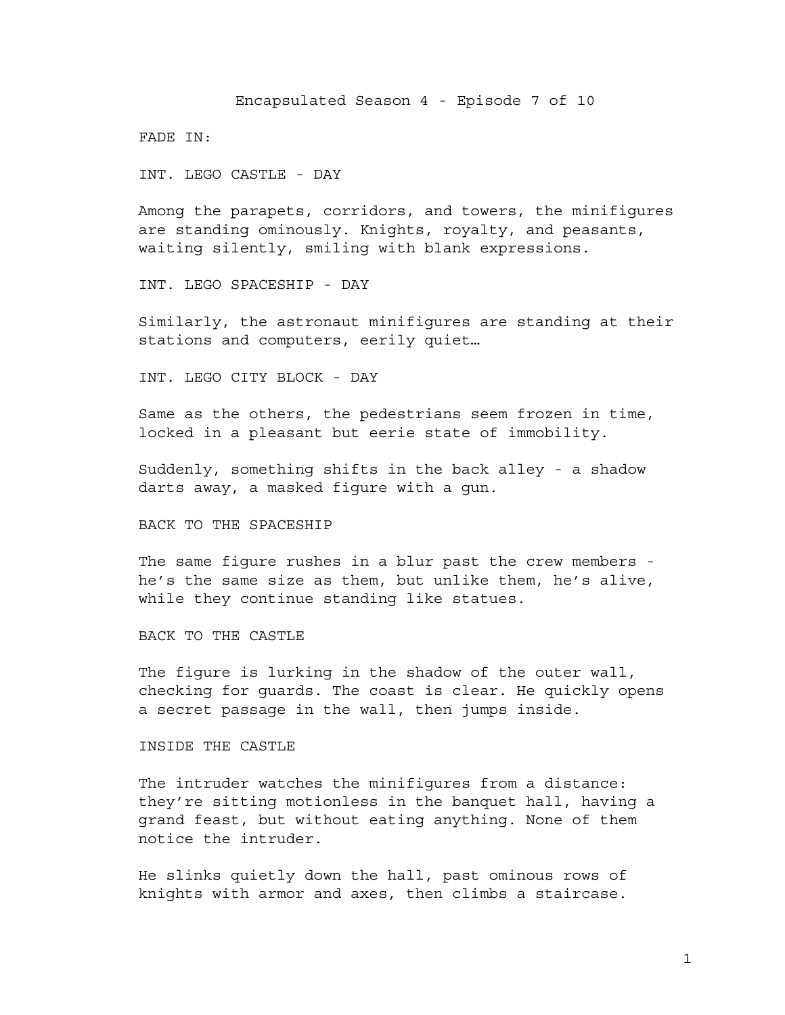Encapsulated Season 4 - Episode 7 of 10

FADE IN:

INT. LEGO CASTLE - DAY

Among the parapets, corridors, and towers, the minifigures are standing ominously. Knights, royalty, and peasants, waiting silently, smiling with blank expressions.

INT. LEGO SPACESHIP - DAY

Similarly, the astronaut minifigures are standing at their stations and computers, eerily quiet…

INT. LEGO CITY BLOCK - DAY

Same as the others, the pedestrians seem frozen in time, locked in a pleasant but eerie state of immobility.

Suddenly, something shifts in the back alley - a shadow darts away, a masked figure with a gun.

BACK TO THE SPACESHIP

The same figure rushes in a blur past the crew members he's the same size as them, but unlike them, he's alive, while they continue standing like statues.

BACK TO THE CASTLE

The figure is lurking in the shadow of the outer wall, checking for guards. The coast is clear. He quickly opens a secret passage in the wall, then jumps inside.

INSIDE THE CASTLE

The intruder watches the minifigures from a distance: they're sitting motionless in the banquet hall, having a grand feast, but without eating anything. None of them notice the intruder.

He slinks quietly down the hall, past ominous rows of knights with armor and axes, then climbs a staircase.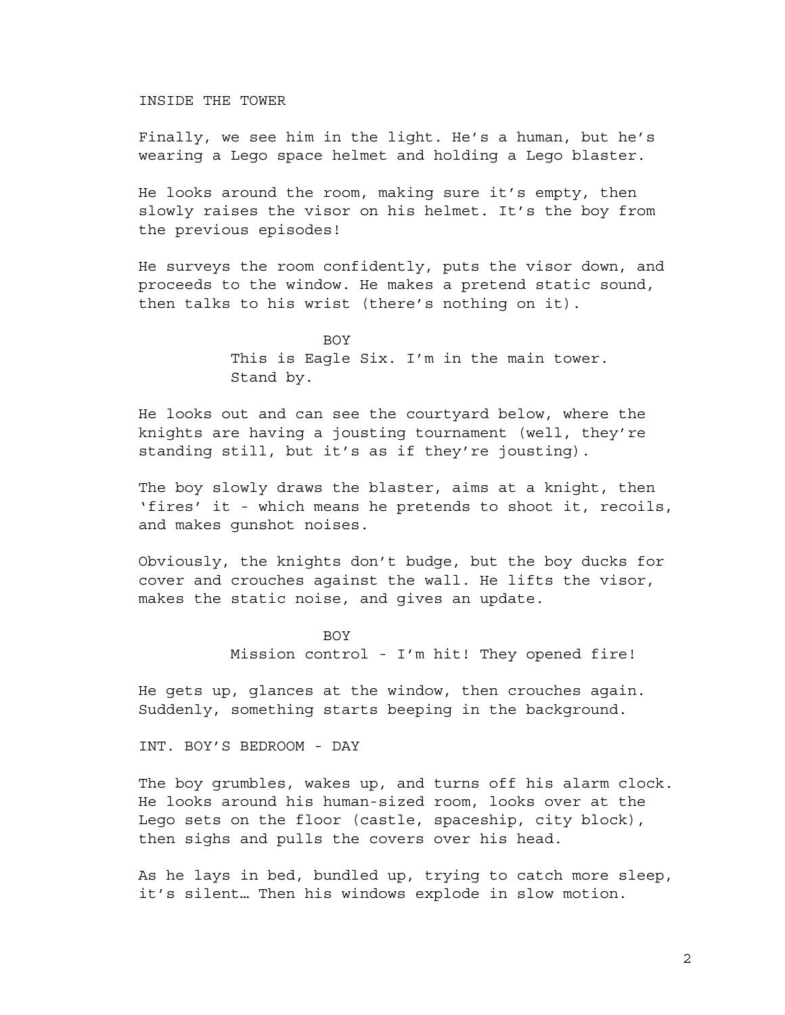INSIDE THE TOWER

Finally, we see him in the light. He's a human, but he's wearing a Lego space helmet and holding a Lego blaster.

He looks around the room, making sure it's empty, then slowly raises the visor on his helmet. It's the boy from the previous episodes!

He surveys the room confidently, puts the visor down, and proceeds to the window. He makes a pretend static sound, then talks to his wrist (there's nothing on it).

> **BOV** This is Eagle Six. I'm in the main tower. Stand by.

He looks out and can see the courtyard below, where the knights are having a jousting tournament (well, they're standing still, but it's as if they're jousting).

The boy slowly draws the blaster, aims at a knight, then 'fires' it - which means he pretends to shoot it, recoils, and makes gunshot noises.

Obviously, the knights don't budge, but the boy ducks for cover and crouches against the wall. He lifts the visor, makes the static noise, and gives an update.

> BOY Mission control - I'm hit! They opened fire!

He gets up, glances at the window, then crouches again. Suddenly, something starts beeping in the background.

INT. BOY'S BEDROOM - DAY

The boy grumbles, wakes up, and turns off his alarm clock. He looks around his human-sized room, looks over at the Lego sets on the floor (castle, spaceship, city block), then sighs and pulls the covers over his head.

As he lays in bed, bundled up, trying to catch more sleep, it's silent… Then his windows explode in slow motion.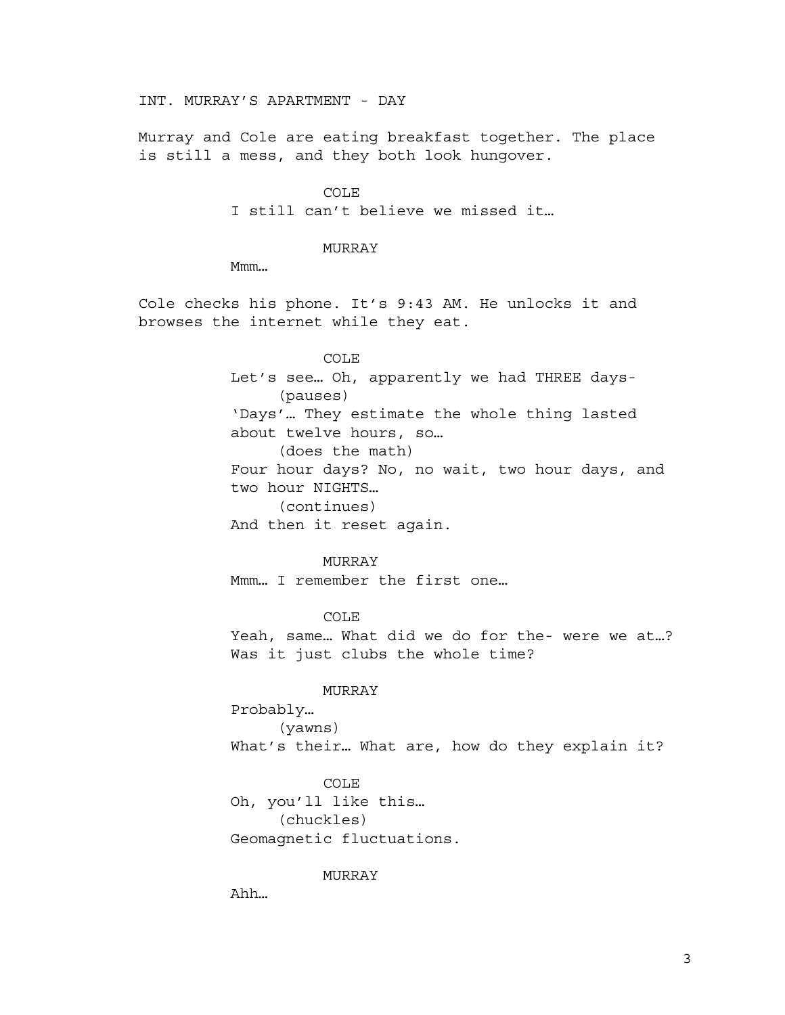INT. MURRAY'S APARTMENT - DAY

Murray and Cole are eating breakfast together. The place is still a mess, and they both look hungover.

> COLE I still can't believe we missed it…

### MURRAY

Mmm…

Cole checks his phone. It's 9:43 AM. He unlocks it and browses the internet while they eat.

# COLE

Let's see… Oh, apparently we had THREE days- (pauses) 'Days'… They estimate the whole thing lasted about twelve hours, so… (does the math) Four hour days? No, no wait, two hour days, and two hour NIGHTS… (continues)

And then it reset again.

### MURRAY

Mmm… I remember the first one…

COLE Yeah, same… What did we do for the- were we at…? Was it just clubs the whole time?

## MURRAY

Probably… (yawns) What's their… What are, how do they explain it?

COLE Oh, you'll like this… (chuckles) Geomagnetic fluctuations.

MURRAY

Ahh…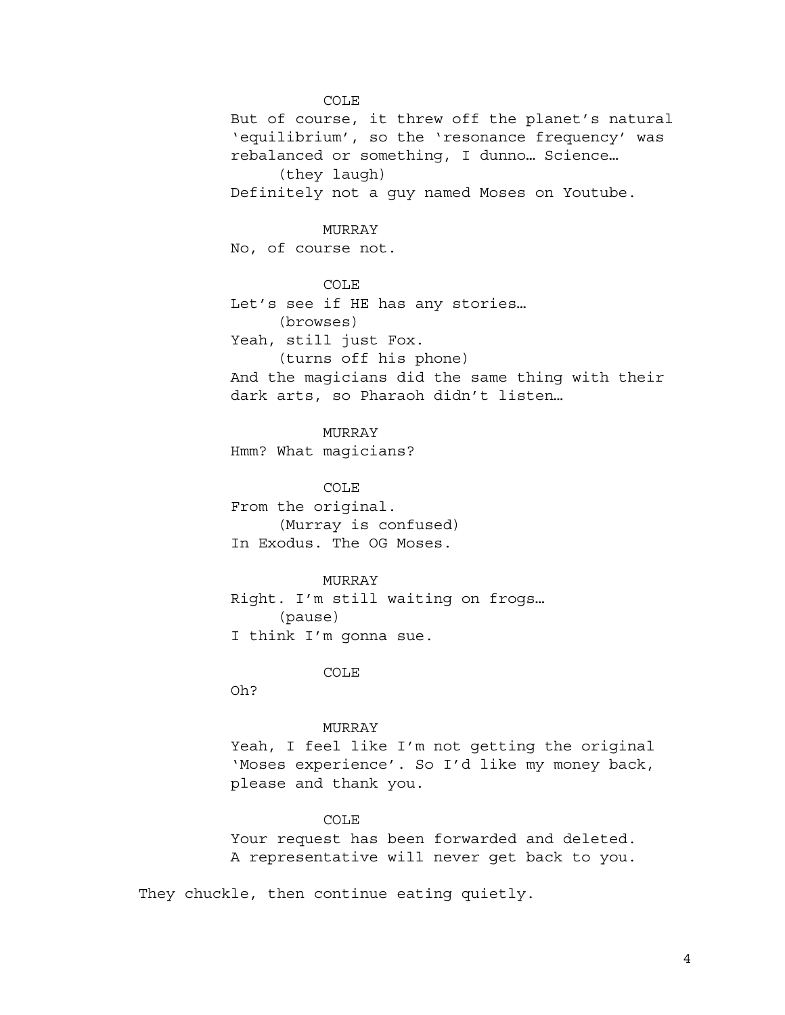COLE But of course, it threw off the planet's natural 'equilibrium', so the 'resonance frequency' was rebalanced or something, I dunno… Science… (they laugh) Definitely not a guy named Moses on Youtube. MURRAY No, of course not. COLE Let's see if HE has any stories… (browses) Yeah, still just Fox. (turns off his phone)

And the magicians did the same thing with their dark arts, so Pharaoh didn't listen…

# MURRAY

Hmm? What magicians?

COLE

From the original. (Murray is confused) In Exodus. The OG Moses.

MURRAY

Right. I'm still waiting on frogs… (pause) I think I'm gonna sue.

COLE

Oh?

#### MURRAY

Yeah, I feel like I'm not getting the original 'Moses experience'. So I'd like my money back, please and thank you.

## COLE

Your request has been forwarded and deleted. A representative will never get back to you.

They chuckle, then continue eating quietly.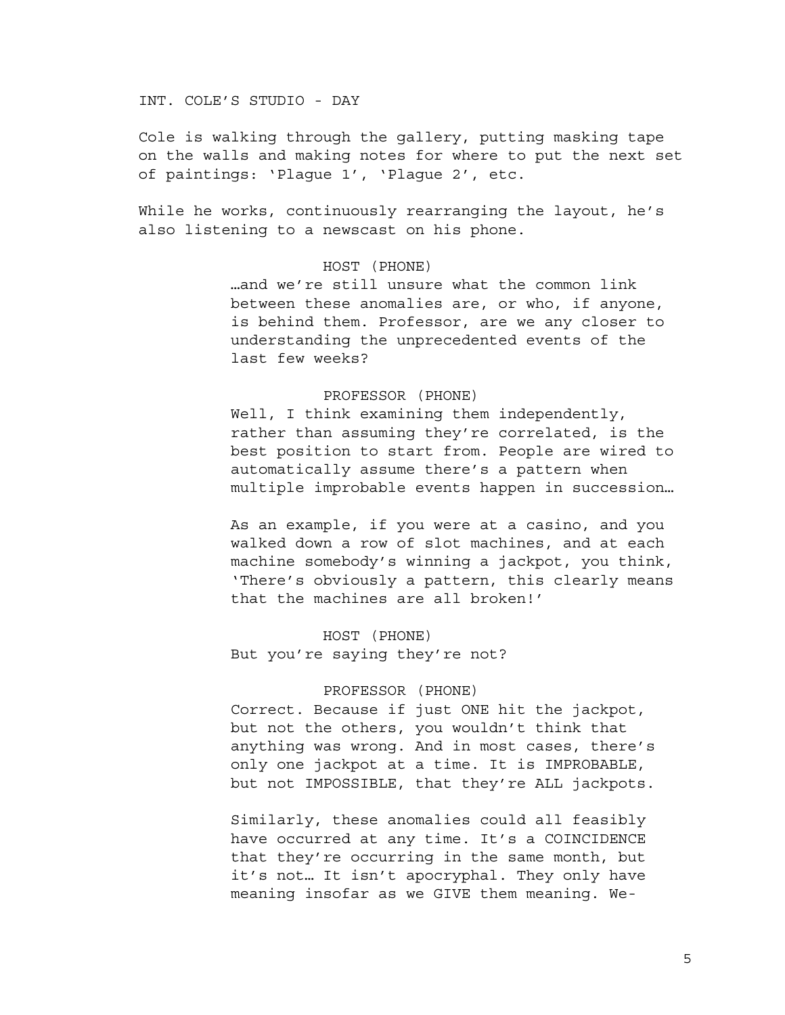# INT. COLE'S STUDIO - DAY

Cole is walking through the gallery, putting masking tape on the walls and making notes for where to put the next set of paintings: 'Plague 1', 'Plague 2', etc.

While he works, continuously rearranging the layout, he's also listening to a newscast on his phone.

# HOST (PHONE)

…and we're still unsure what the common link between these anomalies are, or who, if anyone, is behind them. Professor, are we any closer to understanding the unprecedented events of the last few weeks?

# PROFESSOR (PHONE)

Well, I think examining them independently, rather than assuming they're correlated, is the best position to start from. People are wired to automatically assume there's a pattern when multiple improbable events happen in succession…

As an example, if you were at a casino, and you walked down a row of slot machines, and at each machine somebody's winning a jackpot, you think, 'There's obviously a pattern, this clearly means that the machines are all broken!'

HOST (PHONE) But you're saying they're not?

# PROFESSOR (PHONE)

Correct. Because if just ONE hit the jackpot, but not the others, you wouldn't think that anything was wrong. And in most cases, there's only one jackpot at a time. It is IMPROBABLE, but not IMPOSSIBLE, that they're ALL jackpots.

Similarly, these anomalies could all feasibly have occurred at any time. It's a COINCIDENCE that they're occurring in the same month, but it's not… It isn't apocryphal. They only have meaning insofar as we GIVE them meaning. We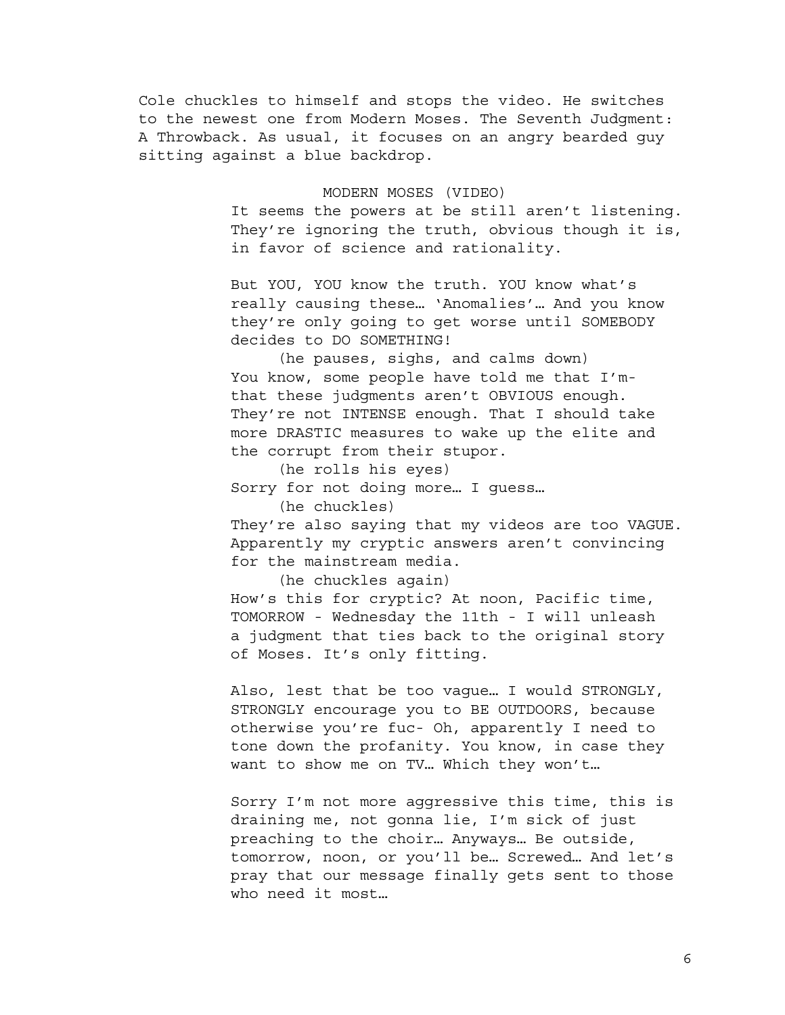Cole chuckles to himself and stops the video. He switches to the newest one from Modern Moses. The Seventh Judgment: A Throwback. As usual, it focuses on an angry bearded guy sitting against a blue backdrop.

### MODERN MOSES (VIDEO)

It seems the powers at be still aren't listening. They're ignoring the truth, obvious though it is, in favor of science and rationality.

But YOU, YOU know the truth. YOU know what's really causing these… 'Anomalies'… And you know they're only going to get worse until SOMEBODY decides to DO SOMETHING!

(he pauses, sighs, and calms down) You know, some people have told me that I'mthat these judgments aren't OBVIOUS enough. They're not INTENSE enough. That I should take more DRASTIC measures to wake up the elite and the corrupt from their stupor.

(he rolls his eyes) Sorry for not doing more… I guess…

(he chuckles)

They're also saying that my videos are too VAGUE. Apparently my cryptic answers aren't convincing for the mainstream media.

(he chuckles again)

How's this for cryptic? At noon, Pacific time, TOMORROW - Wednesday the 11th - I will unleash a judgment that ties back to the original story of Moses. It's only fitting.

Also, lest that be too vague… I would STRONGLY, STRONGLY encourage you to BE OUTDOORS, because otherwise you're fuc- Oh, apparently I need to tone down the profanity. You know, in case they want to show me on TV… Which they won't…

Sorry I'm not more aggressive this time, this is draining me, not gonna lie, I'm sick of just preaching to the choir… Anyways… Be outside, tomorrow, noon, or you'll be… Screwed… And let's pray that our message finally gets sent to those who need it most…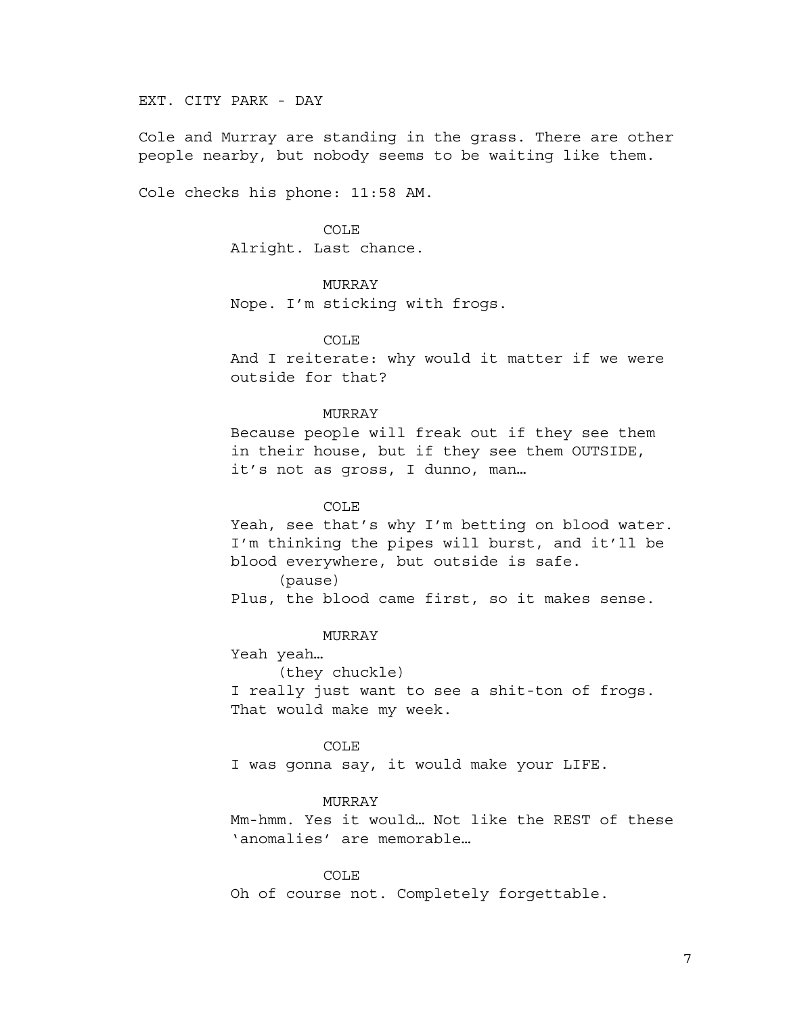EXT. CITY PARK - DAY

Cole and Murray are standing in the grass. There are other people nearby, but nobody seems to be waiting like them.

Cole checks his phone: 11:58 AM.

COLE Alright. Last chance.

# MURRAY

Nope. I'm sticking with frogs.

### COLE

And I reiterate: why would it matter if we were outside for that?

#### MURRAY

Because people will freak out if they see them in their house, but if they see them OUTSIDE, it's not as gross, I dunno, man…

### COLE

Yeah, see that's why I'm betting on blood water. I'm thinking the pipes will burst, and it'll be blood everywhere, but outside is safe. (pause)

Plus, the blood came first, so it makes sense.

### MURRAY

Yeah yeah…

(they chuckle)

I really just want to see a shit-ton of frogs. That would make my week.

## COLE

I was gonna say, it would make your LIFE.

### MURRAY

Mm-hmm. Yes it would… Not like the REST of these 'anomalies' are memorable…

### COLE

Oh of course not. Completely forgettable.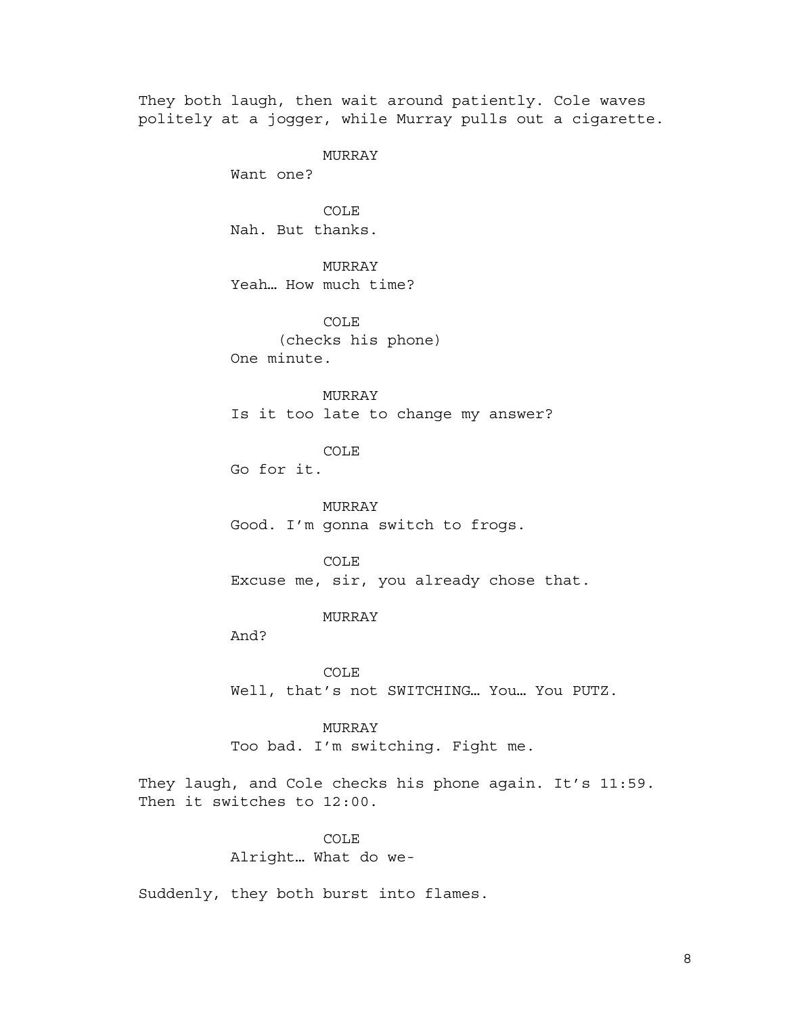They both laugh, then wait around patiently. Cole waves politely at a jogger, while Murray pulls out a cigarette.

MURRAY

Want one?

COLE Nah. But thanks.

MURRAY Yeah… How much time?

COLE (checks his phone) One minute.

MURRAY Is it too late to change my answer?

COLE

Go for it.

MURRAY Good. I'm gonna switch to frogs.

COLE Excuse me, sir, you already chose that.

MURRAY

And?

COLE Well, that's not SWITCHING… You… You PUTZ.

MURRAY Too bad. I'm switching. Fight me.

They laugh, and Cole checks his phone again. It's 11:59. Then it switches to 12:00.

> COLE Alright… What do we-

Suddenly, they both burst into flames.

8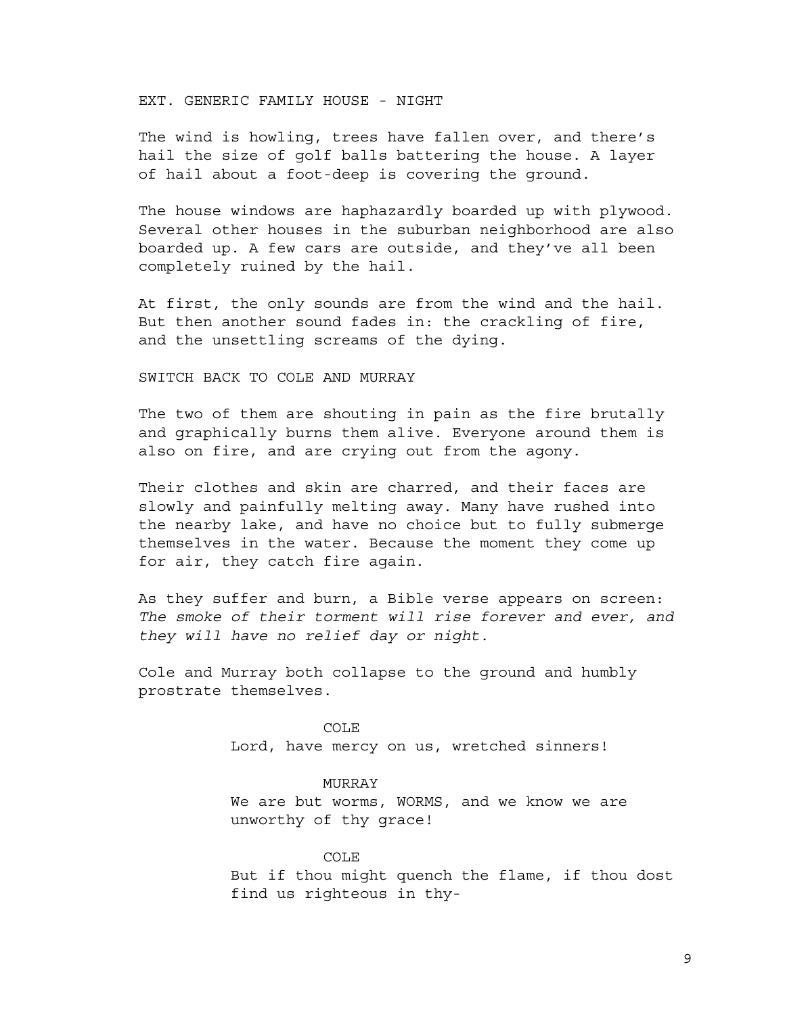EXT. GENERIC FAMILY HOUSE - NIGHT

The wind is howling, trees have fallen over, and there's hail the size of golf balls battering the house. A layer of hail about a foot-deep is covering the ground.

The house windows are haphazardly boarded up with plywood. Several other houses in the suburban neighborhood are also boarded up. A few cars are outside, and they've all been completely ruined by the hail.

At first, the only sounds are from the wind and the hail. But then another sound fades in: the crackling of fire, and the unsettling screams of the dying.

SWITCH BACK TO COLE AND MURRAY

The two of them are shouting in pain as the fire brutally and graphically burns them alive. Everyone around them is also on fire, and are crying out from the agony.

Their clothes and skin are charred, and their faces are slowly and painfully melting away. Many have rushed into the nearby lake, and have no choice but to fully submerge themselves in the water. Because the moment they come up for air, they catch fire again.

As they suffer and burn, a Bible verse appears on screen: *The smoke of their torment will rise forever and ever, and they will have no relief day or night.*

Cole and Murray both collapse to the ground and humbly prostrate themselves.

> COLE Lord, have mercy on us, wretched sinners!

## MURRAY

We are but worms, WORMS, and we know we are unworthy of thy grace!

#### COLE

But if thou might quench the flame, if thou dost find us righteous in thy-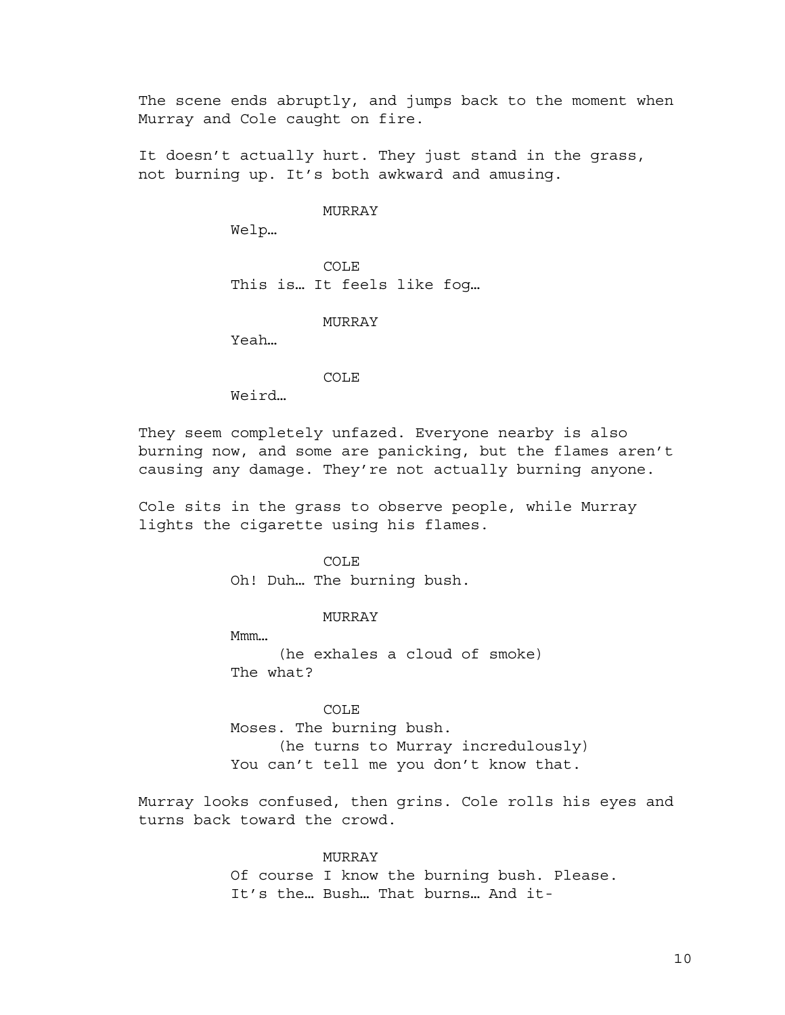The scene ends abruptly, and jumps back to the moment when Murray and Cole caught on fire.

It doesn't actually hurt. They just stand in the grass, not burning up. It's both awkward and amusing.

## MURRAY

Welp…

COLE This is… It feels like fog…

#### MURRAY

Yeah…

COLE

Weird…

They seem completely unfazed. Everyone nearby is also burning now, and some are panicking, but the flames aren't causing any damage. They're not actually burning anyone.

Cole sits in the grass to observe people, while Murray lights the cigarette using his flames.

#### COLE

Oh! Duh… The burning bush.

### MURRAY

Mmm… (he exhales a cloud of smoke) The what?

COLE Moses. The burning bush. (he turns to Murray incredulously) You can't tell me you don't know that.

Murray looks confused, then grins. Cole rolls his eyes and turns back toward the crowd.

### **MURRAY**

Of course I know the burning bush. Please. It's the… Bush… That burns… And it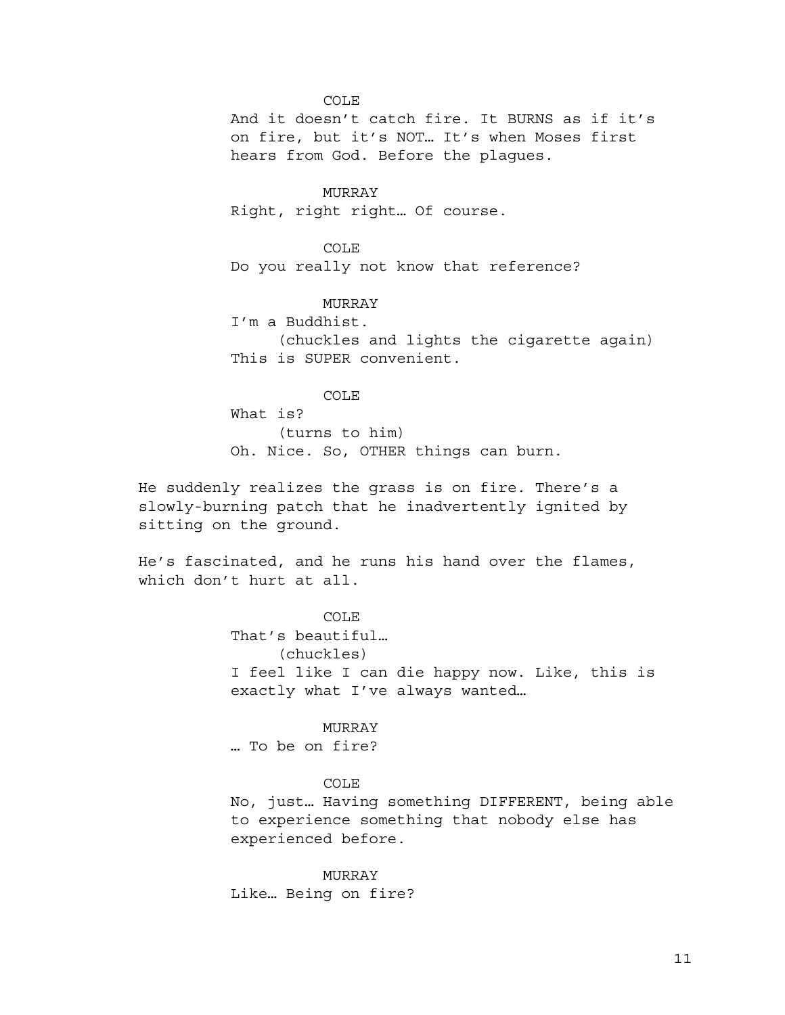COLE

And it doesn't catch fire. It BURNS as if it's on fire, but it's NOT… It's when Moses first hears from God. Before the plagues.

MURRAY Right, right right… Of course.

COLE Do you really not know that reference?

MURRAY I'm a Buddhist. (chuckles and lights the cigarette again) This is SUPER convenient.

COLE What is? (turns to him) Oh. Nice. So, OTHER things can burn.

He suddenly realizes the grass is on fire. There's a slowly-burning patch that he inadvertently ignited by sitting on the ground.

He's fascinated, and he runs his hand over the flames, which don't hurt at all.

> COLE. That's beautiful… (chuckles) I feel like I can die happy now. Like, this is exactly what I've always wanted…

MURRAY … To be on fire?

COLE

No, just… Having something DIFFERENT, being able to experience something that nobody else has experienced before.

MURRAY Like… Being on fire?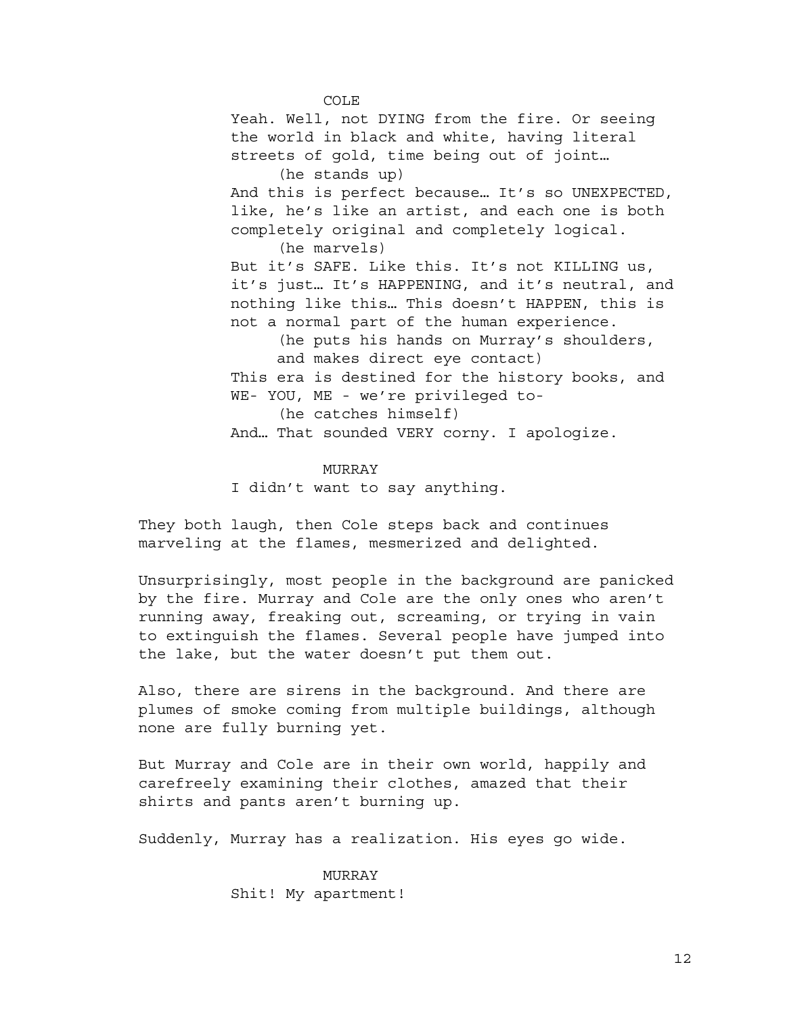COLE Yeah. Well, not DYING from the fire. Or seeing the world in black and white, having literal streets of gold, time being out of joint… (he stands up) And this is perfect because… It's so UNEXPECTED, like, he's like an artist, and each one is both completely original and completely logical. (he marvels) But it's SAFE. Like this. It's not KILLING us, it's just… It's HAPPENING, and it's neutral, and nothing like this… This doesn't HAPPEN, this is not a normal part of the human experience. (he puts his hands on Murray's shoulders, and makes direct eye contact) This era is destined for the history books, and WE- YOU, ME - we're privileged to- (he catches himself) And… That sounded VERY corny. I apologize.

MURRAY

I didn't want to say anything.

They both laugh, then Cole steps back and continues marveling at the flames, mesmerized and delighted.

Unsurprisingly, most people in the background are panicked by the fire. Murray and Cole are the only ones who aren't running away, freaking out, screaming, or trying in vain to extinguish the flames. Several people have jumped into the lake, but the water doesn't put them out.

Also, there are sirens in the background. And there are plumes of smoke coming from multiple buildings, although none are fully burning yet.

But Murray and Cole are in their own world, happily and carefreely examining their clothes, amazed that their shirts and pants aren't burning up.

Suddenly, Murray has a realization. His eyes go wide.

MURRAY Shit! My apartment!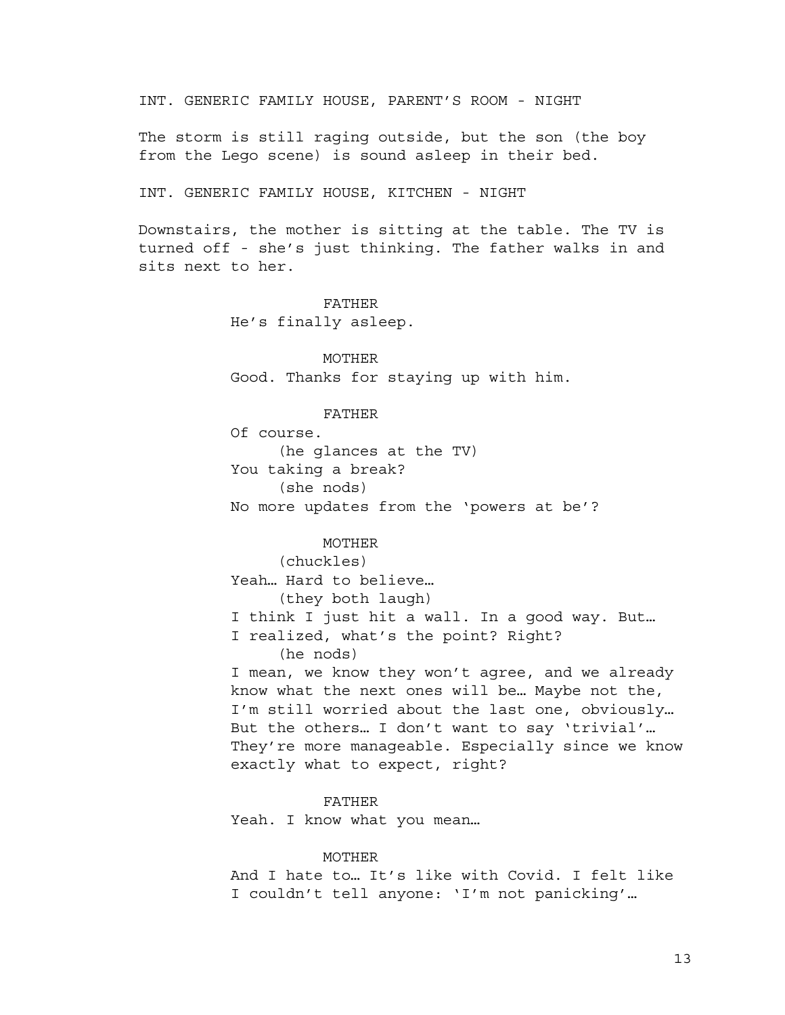INT. GENERIC FAMILY HOUSE, PARENT'S ROOM - NIGHT

The storm is still raging outside, but the son (the boy from the Lego scene) is sound asleep in their bed.

INT. GENERIC FAMILY HOUSE, KITCHEN - NIGHT

Downstairs, the mother is sitting at the table. The TV is turned off - she's just thinking. The father walks in and sits next to her.

# FATHER

He's finally asleep.

MOTHER Good. Thanks for staying up with him.

### FATHER

Of course. (he glances at the TV) You taking a break? (she nods) No more updates from the 'powers at be'?

### MOTHER

(chuckles) Yeah… Hard to believe… (they both laugh) I think I just hit a wall. In a good way. But… I realized, what's the point? Right? (he nods) I mean, we know they won't agree, and we already know what the next ones will be… Maybe not the, I'm still worried about the last one, obviously…

But the others… I don't want to say 'trivial'… They're more manageable. Especially since we know exactly what to expect, right?

FATHER

Yeah. I know what you mean...

### MOTHER

And I hate to… It's like with Covid. I felt like I couldn't tell anyone: 'I'm not panicking'…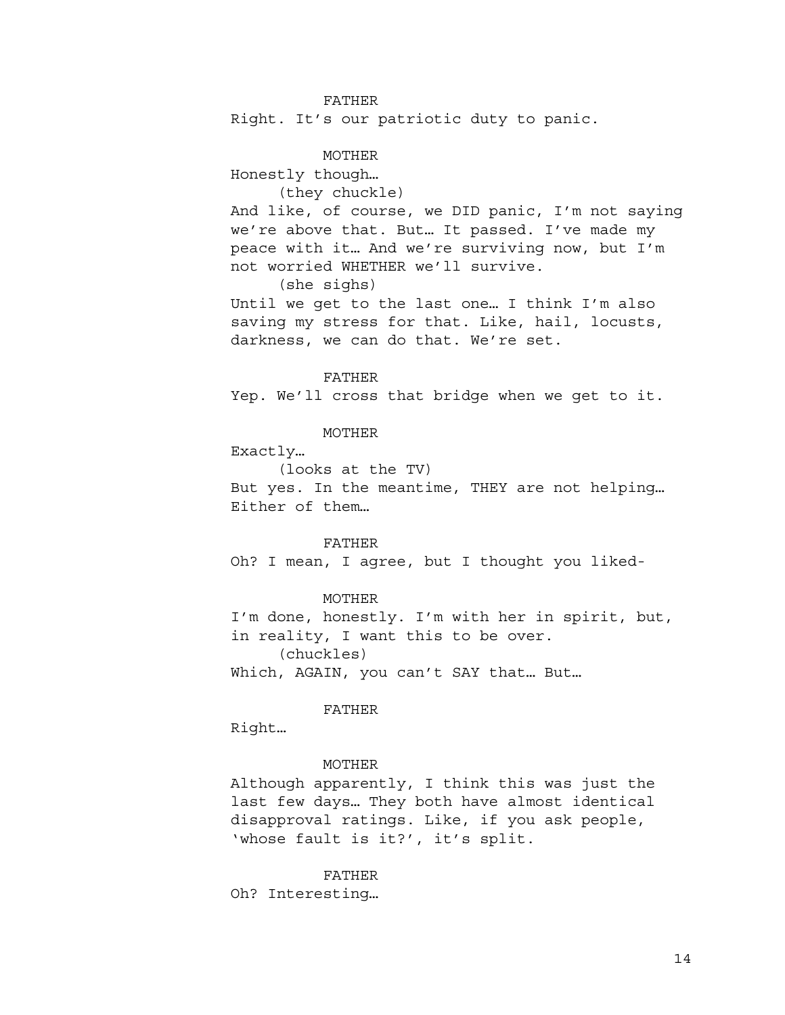## FATHER

Right. It's our patriotic duty to panic.

### MOTHER

Honestly though…

(they chuckle)

And like, of course, we DID panic, I'm not saying we're above that. But… It passed. I've made my peace with it… And we're surviving now, but I'm not worried WHETHER we'll survive.

(she sighs)

Until we get to the last one… I think I'm also saving my stress for that. Like, hail, locusts, darkness, we can do that. We're set.

### FATHER

Yep. We'll cross that bridge when we get to it.

## MOTHER

Exactly…

(looks at the TV) But yes. In the meantime, THEY are not helping… Either of them…

#### FATHER

Oh? I mean, I agree, but I thought you liked-

### MOTHER

I'm done, honestly. I'm with her in spirit, but, in reality, I want this to be over. (chuckles)

Which, AGAIN, you can't SAY that… But…

#### FATHER

Right…

### MOTHER

Although apparently, I think this was just the last few days… They both have almost identical disapproval ratings. Like, if you ask people, 'whose fault is it?', it's split.

#### FATHER

Oh? Interesting…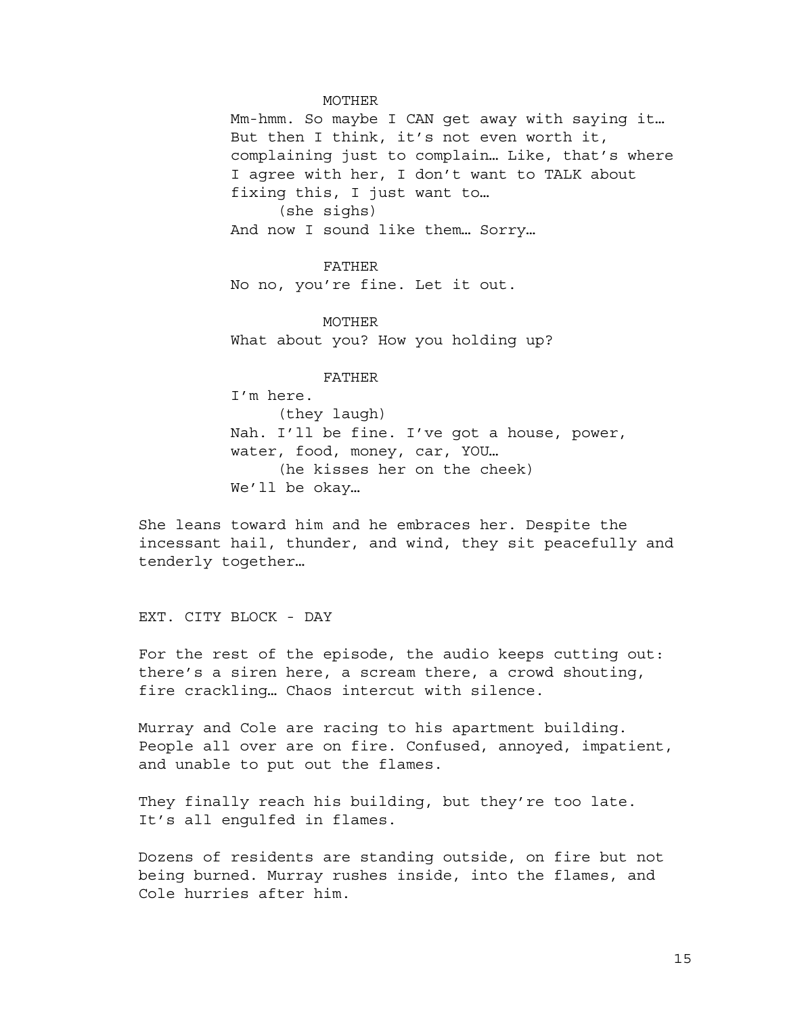#### MOTHER

Mm-hmm. So maybe I CAN get away with saying it… But then I think, it's not even worth it, complaining just to complain… Like, that's where I agree with her, I don't want to TALK about fixing this, I just want to… (she sighs) And now I sound like them… Sorry…

FATHER No no, you're fine. Let it out.

MOTHER What about you? How you holding up?

FATHER

I'm here. (they laugh) Nah. I'll be fine. I've got a house, power, water, food, money, car, YOU… (he kisses her on the cheek) We'll be okay…

She leans toward him and he embraces her. Despite the incessant hail, thunder, and wind, they sit peacefully and tenderly together…

EXT. CITY BLOCK - DAY

For the rest of the episode, the audio keeps cutting out: there's a siren here, a scream there, a crowd shouting, fire crackling… Chaos intercut with silence.

Murray and Cole are racing to his apartment building. People all over are on fire. Confused, annoyed, impatient, and unable to put out the flames.

They finally reach his building, but they're too late. It's all engulfed in flames.

Dozens of residents are standing outside, on fire but not being burned. Murray rushes inside, into the flames, and Cole hurries after him.